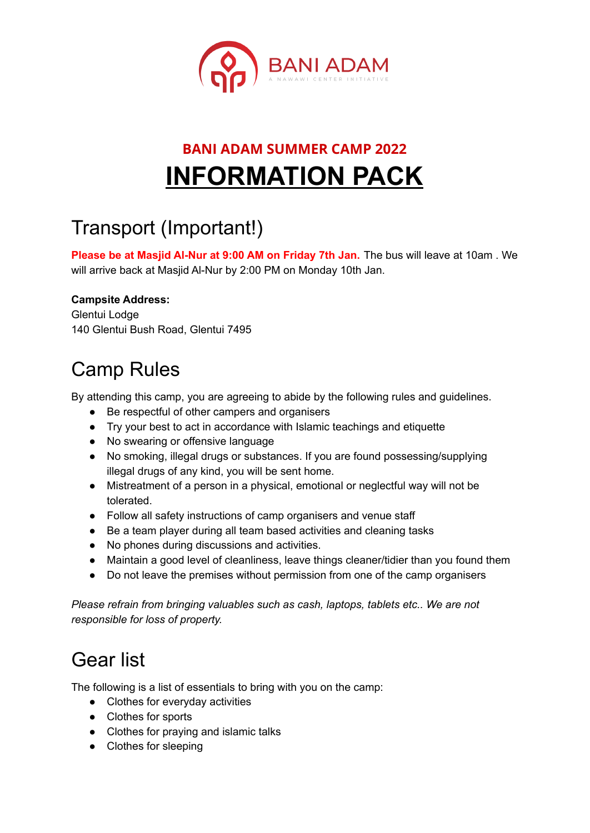

# **BANI ADAM SUMMER CAMP 2022 INFORMATION PACK**

# Transport (Important!)

**Please be at Masjid Al-Nur at 9:00 AM on Friday 7th Jan.** The bus will leave at 10am . We will arrive back at Masjid Al-Nur by 2:00 PM on Monday 10th Jan.

### **Campsite Address:**

Glentui Lodge 140 Glentui Bush Road, Glentui 7495

# Camp Rules

By attending this camp, you are agreeing to abide by the following rules and guidelines.

- Be respectful of other campers and organisers
- Try your best to act in accordance with Islamic teachings and etiquette
- No swearing or offensive language
- No smoking, illegal drugs or substances. If you are found possessing/supplying illegal drugs of any kind, you will be sent home.
- Mistreatment of a person in a physical, emotional or neglectful way will not be tolerated.
- Follow all safety instructions of camp organisers and venue staff
- Be a team player during all team based activities and cleaning tasks
- No phones during discussions and activities.
- Maintain a good level of cleanliness, leave things cleaner/tidier than you found them
- Do not leave the premises without permission from one of the camp organisers

*Please refrain from bringing valuables such as cash, laptops, tablets etc.. We are not responsible for loss of property.*

### Gear list

The following is a list of essentials to bring with you on the camp:

- Clothes for everyday activities
- Clothes for sports
- Clothes for praying and islamic talks
- Clothes for sleeping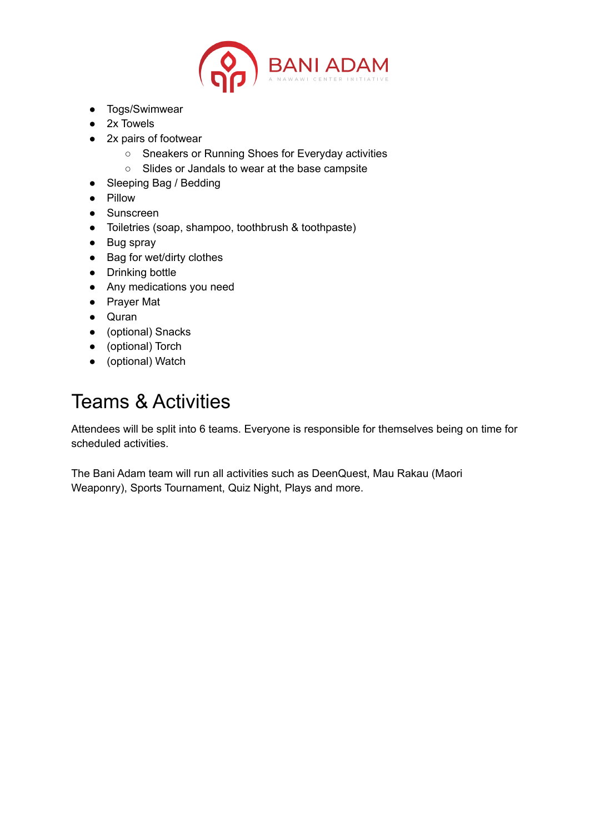

- Togs/Swimwear
- 2x Towels
- 2x pairs of footwear
	- Sneakers or Running Shoes for Everyday activities
	- Slides or Jandals to wear at the base campsite
- Sleeping Bag / Bedding
- Pillow
- Sunscreen
- Toiletries (soap, shampoo, toothbrush & toothpaste)
- Bug spray
- Bag for wet/dirty clothes
- Drinking bottle
- Any medications you need
- Prayer Mat
- Quran
- (optional) Snacks
- (optional) Torch
- (optional) Watch

## Teams & Activities

Attendees will be split into 6 teams. Everyone is responsible for themselves being on time for scheduled activities.

The Bani Adam team will run all activities such as DeenQuest, Mau Rakau (Maori Weaponry), Sports Tournament, Quiz Night, Plays and more.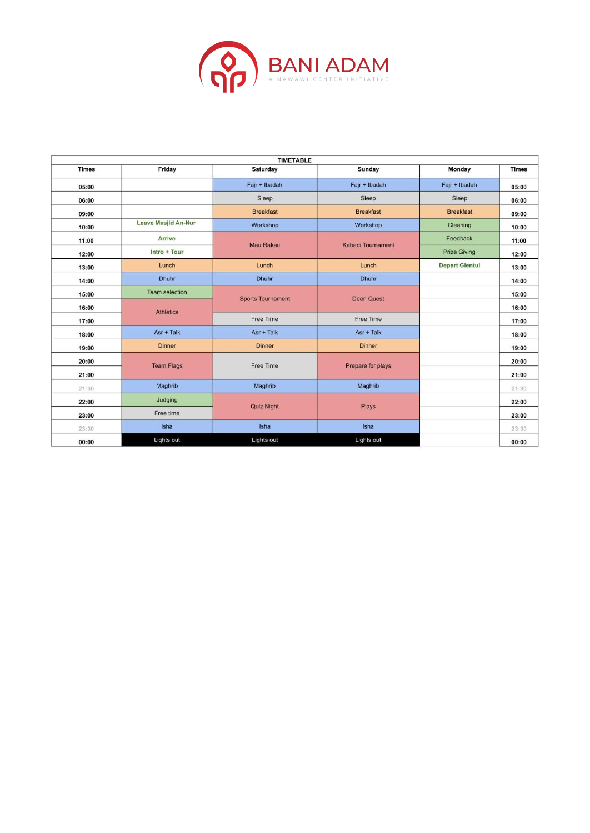

|              |                            | <b>TIMETABLE</b>         |                   |                       |              |
|--------------|----------------------------|--------------------------|-------------------|-----------------------|--------------|
| <b>Times</b> | Friday                     | Saturday                 | Sunday            | Monday                | <b>Times</b> |
| 05:00        |                            | Fajr + Ibadah            | Fajr + Ibadah     | Fajr + Ibadah         | 05:00        |
| 06:00        |                            | Sleep                    | Sleep             | Sleep                 | 06:00        |
| 09:00        |                            | <b>Breakfast</b>         | <b>Breakfast</b>  | <b>Breakfast</b>      | 09:00        |
| 10:00        | <b>Leave Masjid An-Nur</b> | Workshop                 | Workshop          | Cleaning              | 10:00        |
| 11:00        | Arrive                     | Mau Rakau                | Kabadi Tournament | Feedback              | 11:00        |
| 12:00        | Intro + Tour               |                          |                   | <b>Prize Giving</b>   | 12:00        |
| 13:00        | Lunch                      | Lunch                    | Lunch             | <b>Depart Glentui</b> | 13:00        |
| 14:00        | Dhuhr                      | <b>Dhuhr</b>             | <b>Dhuhr</b>      |                       | 14:00        |
| 15:00        | <b>Team selection</b>      | <b>Sports Tournament</b> |                   | <b>Deen Quest</b>     | 15:00        |
| 16:00        | <b>Athletics</b>           |                          |                   |                       | 16:00        |
| 17:00        |                            | Free Time                | Free Time         |                       | 17:00        |
| 18:00        | $Asr + Talk$               | Asr + Talk               | $Asr +$ Talk      |                       | 18:00        |
| 19:00        | <b>Dinner</b>              | <b>Dinner</b>            | <b>Dinner</b>     |                       | 19:00        |
| 20:00        | <b>Team Flags</b>          | Free Time                | Prepare for plays |                       | 20:00        |
| 21:00        |                            |                          |                   |                       | 21:00        |
| 21:30        | Maghrib                    | Maghrib                  | Maghrib           |                       | 21:30        |
| 22:00        | Judging                    | <b>Quiz Night</b>        | Plays             |                       | 22:00        |
| 23:00        | Free time                  |                          |                   |                       | 23:00        |
| 23:30        | Isha                       | Isha                     | Isha              |                       | 23:30        |
| 00:00        | Lights out                 | Lights out               | Lights out        |                       | 00:00        |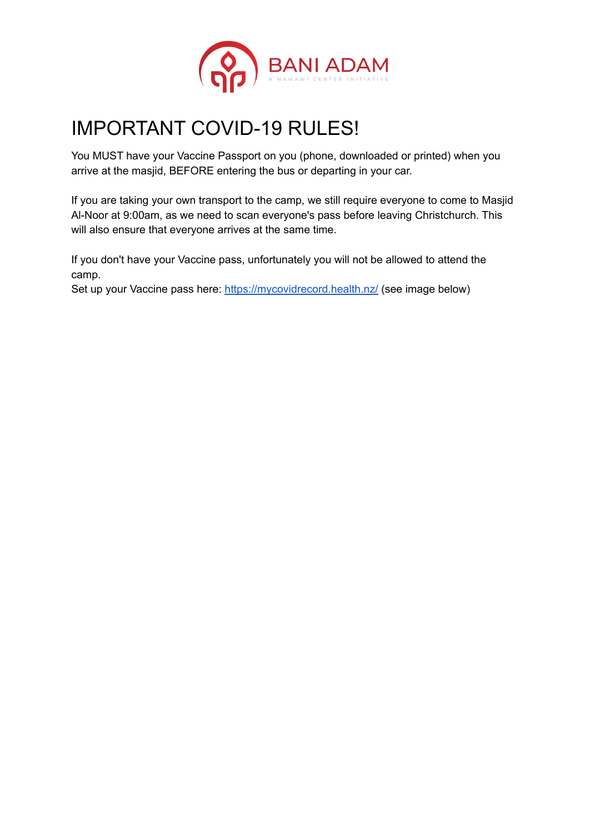

# IMPORTANT COVID-19 RULES!

You MUST have your Vaccine Passport on you (phone, downloaded or printed) when you arrive at the masjid, BEFORE entering the bus or departing in your car.

If you are taking your own transport to the camp, we still require everyone to come to Masjid Al-Noor at 9:00am, as we need to scan everyone's pass before leaving Christchurch. This will also ensure that everyone arrives at the same time.

If you don't have your Vaccine pass, unfortunately you will not be allowed to attend the camp.

Set up your Vaccine pass here: <https://mycovidrecord.health.nz/> (see image below)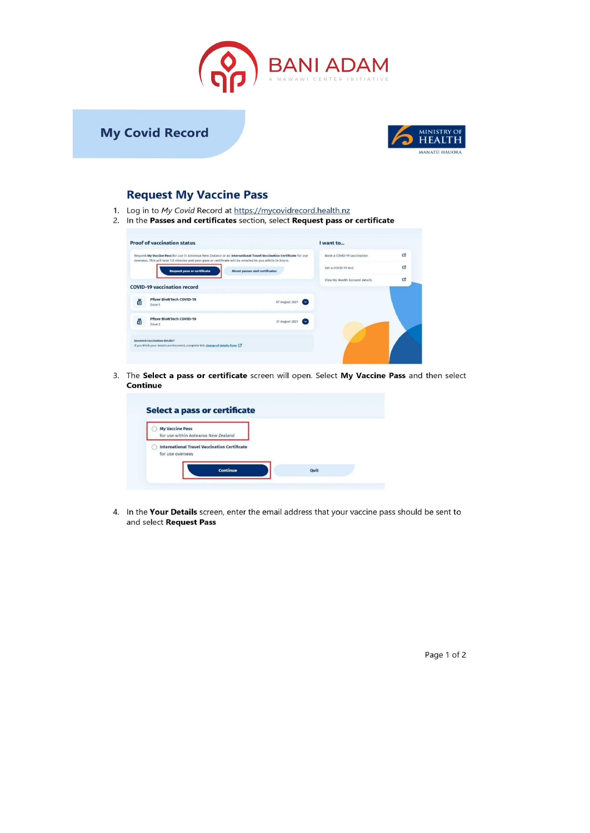



#### **Request My Vaccine Pass**

- 1. Log in to My Covid Record at https://mycovidrecord.health.nz
- 2. In the Passes and certificates section, select Request pass or certificate

|   | Request My Vaccine Pass for use in Aotearoa New Zealand or an International Travel Vaccination Certificate for use<br>overseas. This will take 1-2 minutes and your pass or certificate will be emailed to you within 24 hours. |                                      | Book a COVID-19 vaccination    | Ø |
|---|---------------------------------------------------------------------------------------------------------------------------------------------------------------------------------------------------------------------------------|--------------------------------------|--------------------------------|---|
|   | <b>Request pass or certificate</b>                                                                                                                                                                                              | <b>About passes and certificates</b> | Get a COVID-19 test            | 它 |
|   | <b>COVID-19 vaccination record</b>                                                                                                                                                                                              |                                      | View My Health Account details | 啓 |
|   |                                                                                                                                                                                                                                 |                                      |                                |   |
| 昌 | <b>Pfizer BioNTech COVID-19</b><br>Dose 1                                                                                                                                                                                       | 07 August 2021<br>$\sim$             |                                |   |
| δ | <b>Pfizer BioNTech COVID-19</b><br>Dose 2                                                                                                                                                                                       | 31 August 2021<br>$\sim$             |                                |   |
|   | Incorrect vaccination details?                                                                                                                                                                                                  |                                      |                                |   |

3. The Select a pass or certificate screen will open. Select My Vaccine Pass and then select Continue

| for use within Aotearoa New Zealand<br><b>International Travel Vaccination Certificate</b><br>for use overseas | <b>My Vaccine Pass</b> |  |
|----------------------------------------------------------------------------------------------------------------|------------------------|--|
|                                                                                                                |                        |  |
|                                                                                                                |                        |  |

4. In the Your Details screen, enter the email address that your vaccine pass should be sent to and select Request Pass

Page 1 of 2